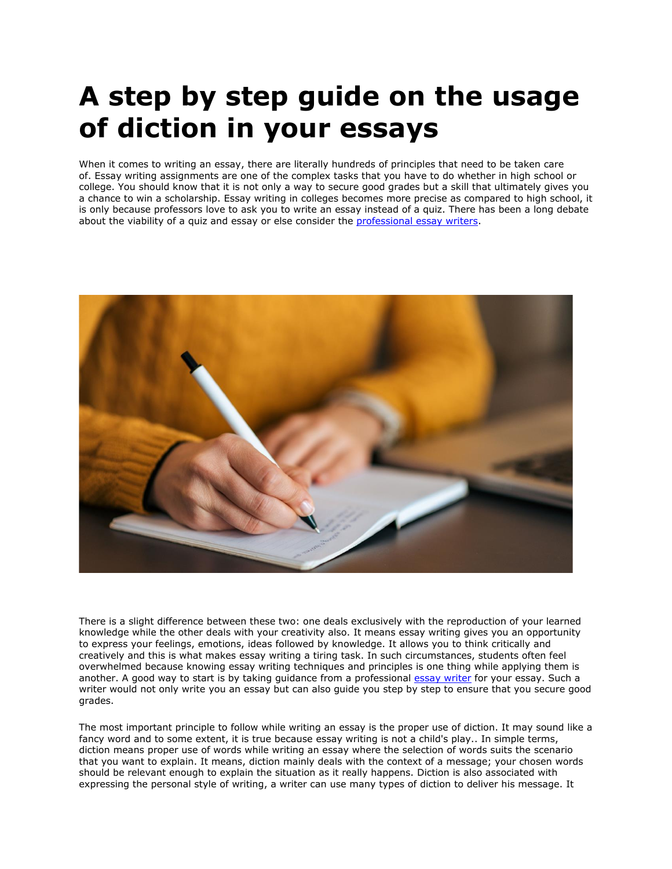# **A step by step guide on the usage of diction in your essays**

When it comes to writing an essay, there are literally hundreds of principles that need to be taken care of. Essay writing assignments are one of the complex tasks that you have to do whether in high school or college. You should know that it is not only a way to secure good grades but a skill that ultimately gives you a chance to win a scholarship. Essay writing in colleges becomes more precise as compared to high school, it is only because professors love to ask you to write an essay instead of a quiz. There has been a long debate about the viability of a quiz and essay or else consider the [professional](https://www.essaywriter.college/where-can-i-find-the-best-professional-essay-writers) essay writers.



There is a slight difference between these two: one deals exclusively with the reproduction of your learned knowledge while the other deals with your creativity also. It means essay writing gives you an opportunity to express your feelings, emotions, ideas followed by knowledge. It allows you to think critically and creatively and this is what makes essay writing a tiring task. In such circumstances, students often feel overwhelmed because knowing essay writing techniques and principles is one thing while applying them is another. A good way to start is by taking guidance from a professional essay [writer](https://www.5staressays.com/) for your essay. Such a writer would not only write you an essay but can also guide you step by step to ensure that you secure good grades.

The most important principle to follow while writing an essay is the proper use of diction. It may sound like a fancy word and to some extent, it is true because essay writing is not a child's play.. In simple terms, diction means proper use of words while writing an essay where the selection of words suits the scenario that you want to explain. It means, diction mainly deals with the context of a message; your chosen words should be relevant enough to explain the situation as it really happens. Diction is also associated with expressing the personal style of writing, a writer can use many types of diction to deliver his message. It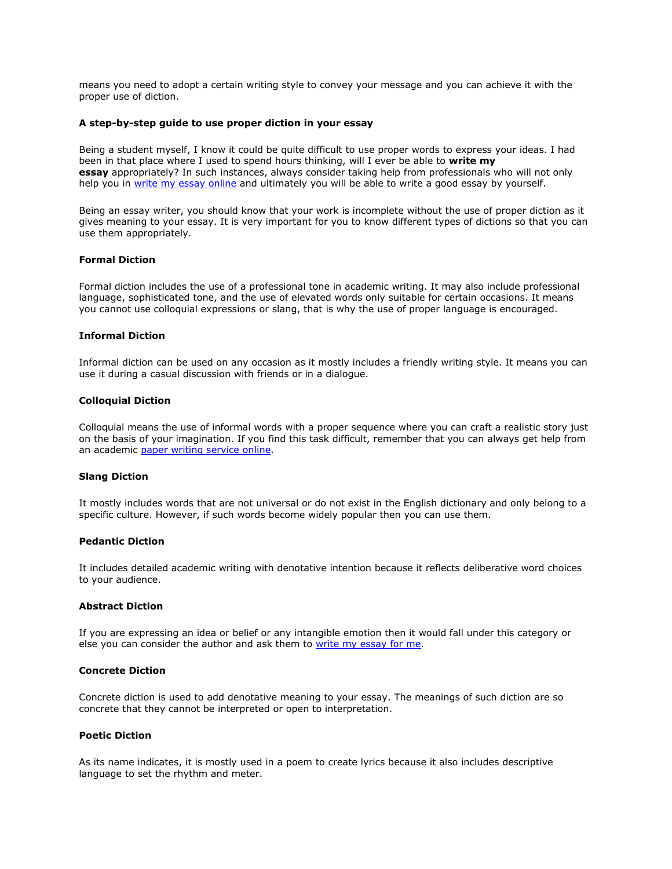means you need to adopt a certain writing style to convey your message and you can achieve it with the proper use of diction.

## **A step-by-step guide to use proper diction in your essay**

Being a student myself, I know it could be quite difficult to use proper words to express your ideas. I had been in that place where I used to spend hours thinking, will I ever be able to **write my essay** appropriately? In such instances, always consider taking help from professionals who will not only help you in [write my essay online](https://www.sharkpapers.com/) and ultimately you will be able to write a good essay by yourself.

Being an essay writer, you should know that your work is incomplete without the use of proper diction as it gives meaning to your essay. It is very important for you to know different types of dictions so that you can use them appropriately.

# **Formal Diction**

Formal diction includes the use of a professional tone in academic writing. It may also include professional language, sophisticated tone, and the use of elevated words only suitable for certain occasions. It means you cannot use colloquial expressions or slang, that is why the use of proper language is encouraged.

#### **Informal Diction**

Informal diction can be used on any occasion as it mostly includes a friendly writing style. It means you can use it during a casual discussion with friends or in a dialogue.

## **Colloquial Diction**

Colloquial means the use of informal words with a proper sequence where you can craft a realistic story just on the basis of your imagination. If you find this task difficult, remember that you can always get help from an academic [paper writing service online.](https://www.collegeessay.org/paper-writing-service/are-online-paper-writing-services-legal-to-use)

## **Slang Diction**

It mostly includes words that are not universal or do not exist in the English dictionary and only belong to a specific culture. However, if such words become widely popular then you can use them.

#### **Pedantic Diction**

It includes detailed academic writing with denotative intention because it reflects deliberative word choices to your audience.

#### **Abstract Diction**

If you are expressing an idea or belief or any intangible emotion then it would fall under this category or else you can consider the author and ask them to [write my essay for me.](https://www.5staressays.com/)

# **Concrete Diction**

Concrete diction is used to add denotative meaning to your essay. The meanings of such diction are so concrete that they cannot be interpreted or open to interpretation.

## **Poetic Diction**

As its name indicates, it is mostly used in a poem to create lyrics because it also includes descriptive language to set the rhythm and meter.